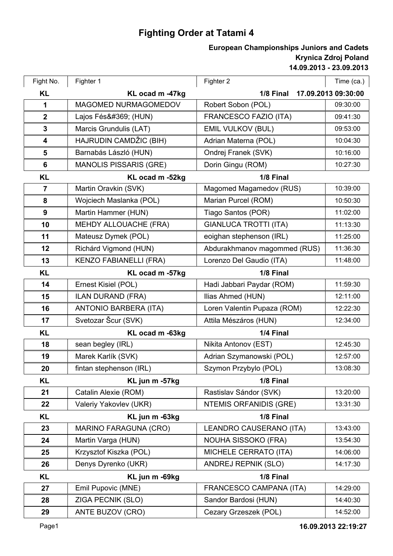## **Fighting Order at Tatami 4**

## **14.09.2013 - 23.09.2013 Krynica Zdroj Poland European Championships Juniors and Cadets**

| Fight No.        | Fighter 1                     | Fighter 2                    | Time (ca.)          |
|------------------|-------------------------------|------------------------------|---------------------|
| <b>KL</b>        | KL ocad m -47kg               | 1/8 Final                    | 17.09.2013 09:30:00 |
| 1                | MAGOMED NURMAGOMEDOV          | Robert Sobon (POL)           | 09:30:00            |
| $\boldsymbol{2}$ | Lajos Fésű (HUN)              | FRANCESCO FAZIO (ITA)        | 09:41:30            |
| $\mathbf{3}$     | Marcis Grundulis (LAT)        | <b>EMIL VULKOV (BUL)</b>     | 09:53:00            |
| 4                | HAJRUDIN CAMDŽIC (BIH)        | Adrian Materna (POL)         | 10:04:30            |
| 5                | Barnabás László (HUN)         | Ondrej Franek (SVK)          | 10:16:00            |
| 6                | <b>MANOLIS PISSARIS (GRE)</b> | Dorin Gingu (ROM)            | 10:27:30            |
| <b>KL</b>        | KL ocad m -52kg               | 1/8 Final                    |                     |
| $\overline{7}$   | Martin Oravkin (SVK)          | Magomed Magamedov (RUS)      | 10:39:00            |
| 8                | Wojciech Maslanka (POL)       | Marian Purcel (ROM)          | 10:50:30            |
| 9                | Martin Hammer (HUN)           | Tiago Santos (POR)           | 11:02:00            |
| 10               | MEHDY ALLOUACHE (FRA)         | <b>GIANLUCA TROTTI (ITA)</b> | 11:13:30            |
| 11               | Mateusz Dymek (POL)           | eoighan stephenson (IRL)     | 11:25:00            |
| 12               | Richárd Vigmond (HUN)         | Abdurakhmanov magommed (RUS) | 11:36:30            |
| 13               | <b>KENZO FABIANELLI (FRA)</b> | Lorenzo Del Gaudio (ITA)     | 11:48:00            |
| <b>KL</b>        | 1/8 Final<br>KL ocad m -57kg  |                              |                     |
| 14               | Ernest Kisiel (POL)           | Hadi Jabbari Paydar (ROM)    | 11:59:30            |
| 15               | <b>ILAN DURAND (FRA)</b>      | Ilias Ahmed (HUN)            | 12:11:00            |
| 16               | <b>ANTONIO BARBERA (ITA)</b>  | Loren Valentin Pupaza (ROM)  | 12:22:30            |
| 17               | Svetozar Šcur (SVK)           | Attila Mészáros (HUN)        | 12:34:00            |
| <b>KL</b>        | KL ocad m -63kg               | 1/4 Final                    |                     |
| 18               | sean begley (IRL)             | Nikita Antonov (EST)         | 12:45:30            |
| 19               | Marek Karlík (SVK)            | Adrian Szymanowski (POL)     | 12:57:00            |
| 20               | fintan stephenson (IRL)       | Szymon Przybylo (POL)        | 13:08:30            |
| <b>KL</b>        | KL jun m -57kg                | 1/8 Final                    |                     |
| 21               | Catalin Alexie (ROM)          | Rastislav Sándor (SVK)       | 13:20:00            |
| 22               | Valeriy Yakovlev (UKR)        | NTEMIS ORFANIDIS (GRE)       | 13:31:30            |
| <b>KL</b>        | KL jun m -63kg                | 1/8 Final                    |                     |
| 23               | <b>MARINO FARAGUNA (CRO)</b>  | LEANDRO CAUSERANO (ITA)      | 13:43:00            |
| 24               | Martin Varga (HUN)            | NOUHA SISSOKO (FRA)          | 13:54:30            |
| 25               | Krzysztof Kiszka (POL)        | MICHELE CERRATO (ITA)        | 14:06:00            |
| 26               | Denys Dyrenko (UKR)           | <b>ANDREJ REPNIK (SLO)</b>   | 14:17:30            |
| <b>KL</b>        | KL jun m -69kg                | 1/8 Final                    |                     |
| 27               | Emil Pupovic (MNE)            | FRANCESCO CAMPANA (ITA)      | 14:29:00            |
| 28               | ZIGA PECNIK (SLO)             | Sandor Bardosi (HUN)         | 14:40:30            |
| 29               | ANTE BUZOV (CRO)              | Cezary Grzeszek (POL)        | 14:52:00            |